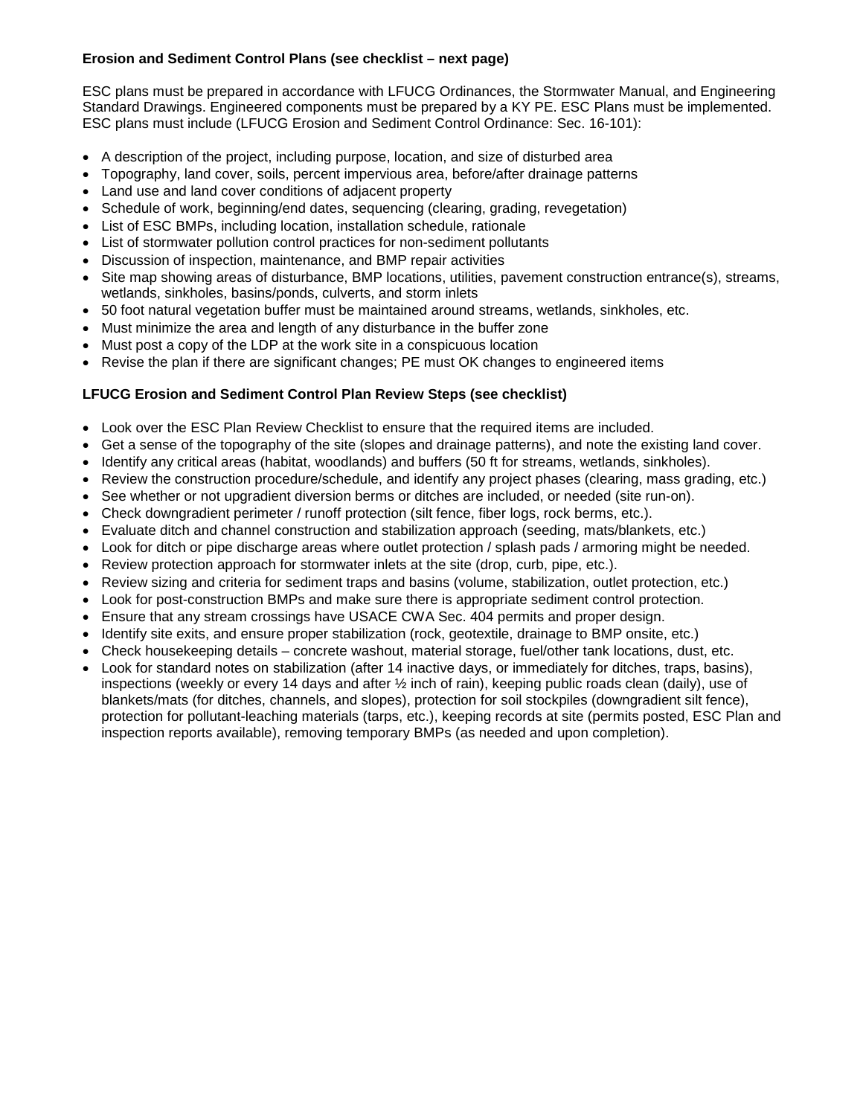## **Erosion and Sediment Control Plans (see checklist – next page)**

ESC plans must be prepared in accordance with LFUCG Ordinances, the Stormwater Manual, and Engineering Standard Drawings. Engineered components must be prepared by a KY PE. ESC Plans must be implemented. ESC plans must include (LFUCG Erosion and Sediment Control Ordinance: Sec. 16-101):

- A description of the project, including purpose, location, and size of disturbed area
- Topography, land cover, soils, percent impervious area, before/after drainage patterns
- Land use and land cover conditions of adjacent property
- Schedule of work, beginning/end dates, sequencing (clearing, grading, revegetation)
- List of ESC BMPs, including location, installation schedule, rationale
- List of stormwater pollution control practices for non-sediment pollutants
- Discussion of inspection, maintenance, and BMP repair activities
- Site map showing areas of disturbance, BMP locations, utilities, pavement construction entrance(s), streams, wetlands, sinkholes, basins/ponds, culverts, and storm inlets
- 50 foot natural vegetation buffer must be maintained around streams, wetlands, sinkholes, etc.
- Must minimize the area and length of any disturbance in the buffer zone
- Must post a copy of the LDP at the work site in a conspicuous location
- Revise the plan if there are significant changes; PE must OK changes to engineered items

## **LFUCG Erosion and Sediment Control Plan Review Steps (see checklist)**

- Look over the ESC Plan Review Checklist to ensure that the required items are included.
- Get a sense of the topography of the site (slopes and drainage patterns), and note the existing land cover.
- Identify any critical areas (habitat, woodlands) and buffers (50 ft for streams, wetlands, sinkholes).
- Review the construction procedure/schedule, and identify any project phases (clearing, mass grading, etc.)
- See whether or not upgradient diversion berms or ditches are included, or needed (site run-on).
- Check downgradient perimeter / runoff protection (silt fence, fiber logs, rock berms, etc.).
- Evaluate ditch and channel construction and stabilization approach (seeding, mats/blankets, etc.)
- Look for ditch or pipe discharge areas where outlet protection / splash pads / armoring might be needed.
- Review protection approach for stormwater inlets at the site (drop, curb, pipe, etc.).
- Review sizing and criteria for sediment traps and basins (volume, stabilization, outlet protection, etc.)
- Look for post-construction BMPs and make sure there is appropriate sediment control protection.
- Ensure that any stream crossings have USACE CWA Sec. 404 permits and proper design.
- Identify site exits, and ensure proper stabilization (rock, geotextile, drainage to BMP onsite, etc.)
- Check housekeeping details concrete washout, material storage, fuel/other tank locations, dust, etc.
- Look for standard notes on stabilization (after 14 inactive days, or immediately for ditches, traps, basins), inspections (weekly or every 14 days and after ½ inch of rain), keeping public roads clean (daily), use of blankets/mats (for ditches, channels, and slopes), protection for soil stockpiles (downgradient silt fence), protection for pollutant-leaching materials (tarps, etc.), keeping records at site (permits posted, ESC Plan and inspection reports available), removing temporary BMPs (as needed and upon completion).